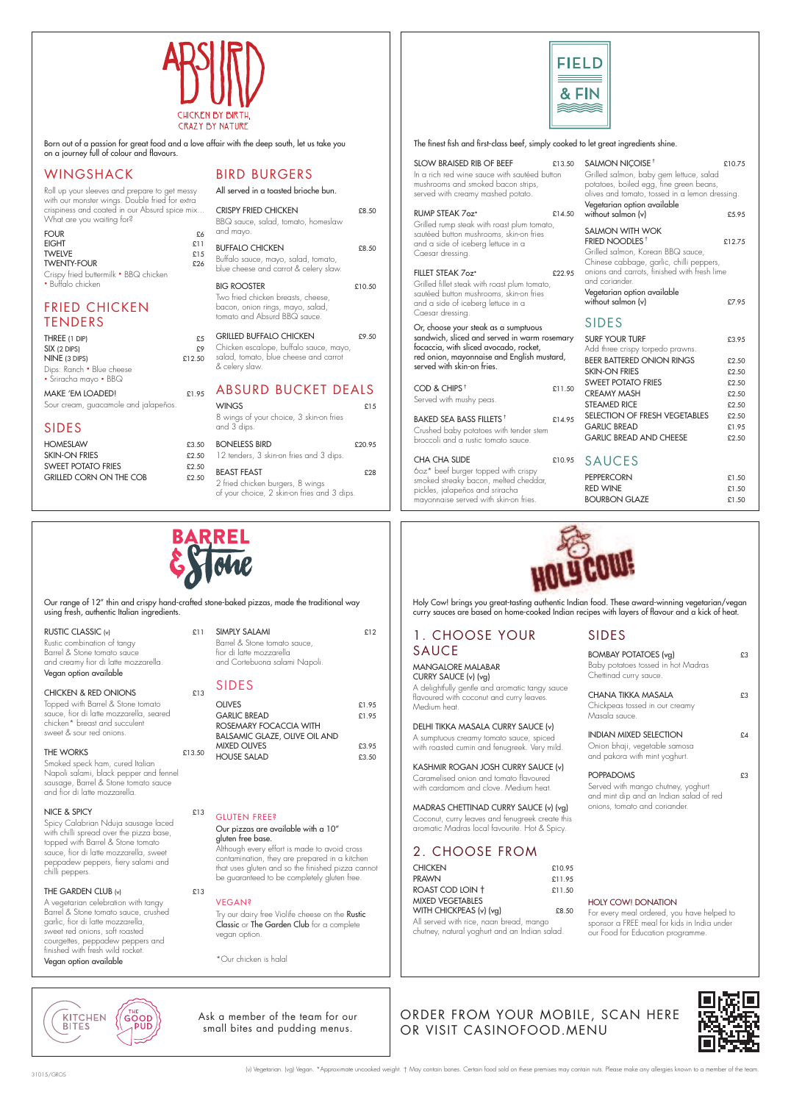Holy Cow! brings you great-tasting authentic Indian food. These award-winning vegetarian/vegan curry sauces are based on home-cooked Indian recipes with layers of lavour and a kick of heat.

## BOMBAY POTATOES (vg) E3 Baby potatoes tossed in hot Madras Chettinad curry sauce. CHANA TIKKA MASALA  $£3$ Chickpeas tossed in our creamy Masala sauce. INDIAN MIXED SELECTION £4 Onion bhaji, vegetable samosa and pakora with mint yoghurt. POPPADOMS E3

BOURBON GLAZE  $£1.50$ 

A delightfully gentle and aromatic tangy sauce flavoured with coconut and curry leaves.

1. CHOOSE YOUR

SAUCE

MANGALORE MALABAR CURRY SAUCE (v) (vg)

Medium heat.

DELHI TIKKA MASALA CURRY SAUCE (v) A sumptuous creamy tomato sauce, spiced with roasted cumin and fenugreek. Very mild.

#### KASHMIR ROGAN JOSH CURRY SAUCE (v) Caramelised onion and tomato flavoured with cardamom and clove. Medium heat.

MADRAS CHETTINAD CURRY SAUCE (v) (vg) Coconut, curry leaves and fenugreek create this

#### aromatic Madras local favourite. Hot & Spicy.



Born out of a passion for great food and a love affair with the deep south, let us take you on a journey full of colour and flavours.

## 2. CHOOSE FROM

| <b>CHICKEN</b>                        | £10.95 |
|---------------------------------------|--------|
| <b>PRAWN</b>                          | £11.95 |
| ROAST COD LOIN +                      | £11.50 |
| MIXED VEGETABLES                      |        |
| WITH CHICKPEAS (v) (vg)               | £8.50  |
| All conjod with rice noon broad mango |        |

All served with rice, naan bread, mango chutney, natural yoghurt and an Indian salad.

# SIDES

Served with mango chutney, yoghurt and mint dip and an Indian salad of red onions, tomato and coriander.

#### THE GARDEN CLUB  $(v)$  £13

#### HOLY COW! DONATION

For every meal ordered, you have helped to sponsor a FREE meal for kids in India under our Food for Education programme.

**KITCHEN BITES** 

# WINGSHACK

| Roll up your sleeves and prepare to get messy                              |
|----------------------------------------------------------------------------|
| with our monster wings. Double fried for extra                             |
| crispiness and coated in our Absurd spice mix<br>What are you waiting for? |

| FOUR                                                       | £6  |
|------------------------------------------------------------|-----|
| EIGHT                                                      | f11 |
| <b>TWELVE</b>                                              | £15 |
| <b>TWENTY-FOUR</b>                                         | £26 |
| Crispy fried buttermilk • BBQ chicken<br>• Buffalo chicken |     |

# FRIED CHICKEN TENDERS

| THREE (1 DIP)                                      | £5     |
|----------------------------------------------------|--------|
| SIX (2 DIPS)                                       | £9     |
| NINE (3 DIPS)                                      | £12.50 |
| Dips: Ranch • Blue cheese<br>• Sriracha mayo • BBQ |        |
| MAKE 'EM LOADED!                                   | £1.95  |

Sour cream, guacamole and jalapeños.

## SIDES

| £3.50 |
|-------|
| £2.50 |
| £2.50 |
| £2.50 |
|       |

## BIRD BURGERS

|                             | All served in a toasted brioche bun.                                                                                                |        |
|-----------------------------|-------------------------------------------------------------------------------------------------------------------------------------|--------|
| 6<br>$\mathbf{I}$<br>5<br>6 | <b>CRISPY FRIED CHICKEN</b><br>BBQ sauce, salad, tomato, homeslaw<br>and mayo.                                                      | £8.50  |
|                             | <b>BUFFALO CHICKEN</b><br>Buffalo sauce, mayo, salad, tomato,<br>blue cheese and carrot & celery slaw.                              | £8.50  |
|                             | <b>BIG ROOSTER</b><br>Two fried chicken breasts, cheese,<br>bacon, onion rings, mayo, salad,<br>tomato and Absurd BBQ sauce.        | £10.50 |
| 5<br>9<br>O                 | <b>GRILLED BUFFALO CHICKEN</b><br>Chicken escalope, buffalo sauce, mayo,<br>salad, tomato, blue cheese and carrot<br>& celery slaw. | £9.50  |
| 5                           | <b>ABSURD BUCKET DEALS</b>                                                                                                          |        |
|                             | <b>WINGS</b><br>8 wings of your choice, 3 skin-on fries<br>and 3 dips.                                                              | £15    |
| 0<br>0                      | <b>BONELESS BIRD</b><br>12 tenders, 3 skin-on fries and 3 dips.                                                                     | £20.95 |
| 0                           | <b>BEAST FEAST</b>                                                                                                                  | £28    |



The finest fish and first-class beef, simply cooked to let great ingredients shine.

2 fried chicken burgers, 8 wings of your choice, 2 skin-on fries and 3 dips.

Try our dairy free Violife cheese on the Rustic Classic or The Garden Club for a complete vegan option.

| SLOW BRAISED RIB OF BEEF<br>In a rich red wine sauce with sautéed button<br>mushrooms and smoked bacon strips,<br>served with creamy mashed potato. | £13.50 | SALMON NICOISE <sup>+</sup><br>Grilled salmon, baby gem lettuce, salad<br>potatoes, boiled egg, fine green beans,<br>olives and tomato, tossed in a lemon dressing. | £10.75         |
|-----------------------------------------------------------------------------------------------------------------------------------------------------|--------|---------------------------------------------------------------------------------------------------------------------------------------------------------------------|----------------|
| <b>RUMP STEAK 7oz*</b>                                                                                                                              | £14.50 | Vegetarian option available<br>without salmon (v)                                                                                                                   | £5.95          |
| Grilled rump steak with roast plum tomato,<br>sautéed button mushrooms, skin-on fries<br>and a side of iceberg lettuce in a<br>Caesar dressing.     |        | <b>SALMON WITH WOK</b><br>FRIED NOODLES <sup>+</sup><br>Grilled salmon, Korean BBQ sauce,<br>Chinese cabbage, garlic, chilli peppers,                               | £12.75         |
| FILLET STEAK 7oz*                                                                                                                                   | £22.95 | onions and carrots, finished with fresh lime<br>and coriander.                                                                                                      |                |
| Grilled fillet steak with roast plum tomato,<br>sautéed button mushrooms, skin-on fries<br>and a side of iceberg lettuce in a<br>Caesar dressing.   |        | Vegetarian option available<br>without salmon (v)                                                                                                                   | £7.95          |
| Or, choose your steak as a sumptuous                                                                                                                |        | <b>SIDES</b>                                                                                                                                                        |                |
| sandwich, sliced and served in warm rosemary<br>focaccia, with sliced avocado, rocket,                                                              |        | <b>SURF YOUR TURF</b><br>Add three crispy torpedo prawns.                                                                                                           | £3.95          |
| red onion, mayonnaise and English mustard,<br>served with skin-on fries.                                                                            |        | <b>BEER BATTERED ONION RINGS</b>                                                                                                                                    | £2.50          |
|                                                                                                                                                     |        | <b>SKIN-ON FRIES</b>                                                                                                                                                | £2.50          |
| COD & CHIPS <sup>+</sup>                                                                                                                            | £11.50 | <b>SWEET POTATO FRIES</b><br><b>CREAMY MASH</b>                                                                                                                     | £2.50<br>£2.50 |
| Served with mushy peas.                                                                                                                             |        | <b>STEAMED RICE</b>                                                                                                                                                 | £2.50          |
|                                                                                                                                                     |        | SELECTION OF FRESH VEGETABLES                                                                                                                                       | £2.50          |
| BAKED SEA BASS FILLETS <sup>+</sup>                                                                                                                 | £14.95 | <b>GARLIC BREAD</b>                                                                                                                                                 | £1.95          |
| Crushed baby potatoes with tender stem<br>broccoli and a rustic tomato sauce.                                                                       |        | <b>GARLIC BREAD AND CHEESE</b>                                                                                                                                      | £2.50          |
| <b>CHA CHA SLIDE</b>                                                                                                                                | £10.95 | <b>SAUCES</b>                                                                                                                                                       |                |
| 60z* beef burger topped with crispy                                                                                                                 |        | <b>PEPPERCORN</b>                                                                                                                                                   | £1.50          |
| smoked streaky bacon, melted cheddar,<br>pickles jalapeños and sriracha                                                                             |        | <b>RED WINE</b>                                                                                                                                                     | £1.50          |



pickles, jalapeños and sriracha mayonnaise served with skin-on fries.

(v) Vegetarian. (vg) Vegan. \*Approximate uncooked weight. † May contain bones. Certain food sold on these premises may contain nuts. Please make any allergies known to a member of the team.

Ask a member of the team for our small bites and pudding menus.

Our range of 12" thin and crispy hand-crafted stone-baked pizzas, made the traditional way using fresh, authentic Italian ingredients.

| RUSTIC CLASSIC (v) | £11 |
|--------------------|-----|
|                    |     |

Rustic combination of tangy Barrel & Stone tomato sauce and creamy fior di latte mozzarella. Vegan option available

#### CHICKEN & RED ONIONS  $£13$

Topped with Barrel & Stone tomato sauce, ior di latte mozzarella, seared chicken\* breast and succulent sweet & sour red onions.

#### THE WORKS 
E13.50

Smoked speck ham, cured Italian Napoli salami, black pepper and fennel sausage, Barrel & Stone tomato sauce and ior di latte mozzarella.

### NICE & SPICY E13

Spicy Calabrian Nduja sausage laced with chilli spread over the pizza base, topped with Barrel & Stone tomato sauce, fior di latte mozzarella, sweet peppadew peppers, fiery salami and chilli peppers.

A vegetarian celebration with tangy Barrel & Stone tomato sauce, crushed garlic, fior di latte mozzarella, sweet red onions, soft roasted courgettes, peppadew peppers and finished with fresh wild rocket. Vegan option available

## SIMPLY SALAMI £12

Barrel & Stone tomato sauce, ior di latte mozzarella and Cortebuona salami Napoli.

## SIDES

| <b>OLIVES</b>                        | £1.95 |
|--------------------------------------|-------|
| <b>GARLIC BREAD</b>                  | £1.95 |
| ROSEMARY FOCACCIA WITH               |       |
| <b>BALSAMIC GLAZE, OLIVE OIL AND</b> |       |
| <b>MIXED OLIVES</b>                  | £3.95 |
| <b>HOUSE SALAD</b>                   | £3,50 |
|                                      |       |

GLUTEN FREE?

#### Our pizzas are available with a 10" gluten free base.

Although every effort is made to avoid cross contamination, they are prepared in a kitchen that uses gluten and so the finished pizza cannot be guaranteed to be completely gluten free.

VEGAN?

\*Our chicken is halal

## ORDER FROM YOUR MOBILE, SCAN HERE OR VISIT CASINOFOOD.MENU